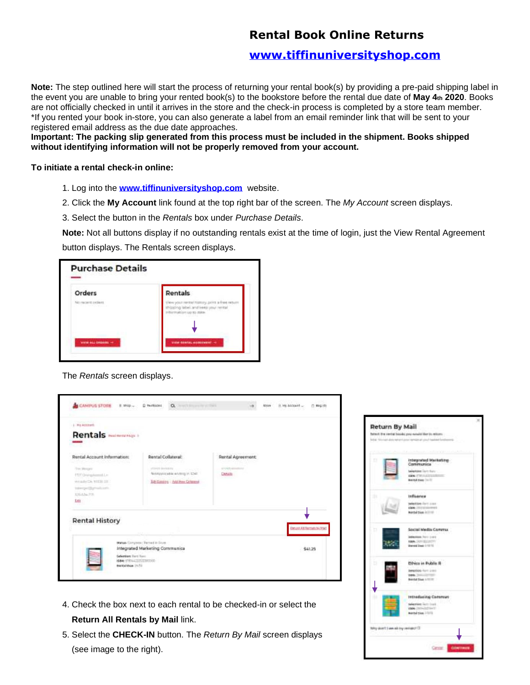## **Rental Book Online Returns**

## **[www.tiffinuniversityshop.com](http://www.tiffinuniversityshop.com/)**

**Note:** The step outlined here will start the process of returning your rental book(s) by providing a pre-paid shipping label in the event you are unable to bring your rented book(s) to the bookstore before the rental due date of **May 4th 2020**. Books are not officially checked in until it arrives in the store and the check-in process is completed by a store team member. \*If you rented your book in-store, you can also generate a label from an email reminder link that will be sent to your registered email address as the due date approaches.

**Important: The packing slip generated from this process must be included in the shipment. Books shipped without identifying information will not be properly removed from your account.** 

## **To initiate a rental check-in online:**

- 1. Log into the **[www.tiffinuniversityshop.com](http://www.tiffinuniversityshop.com/)** website.
- 2. Click the **My Account** link found at the top right bar of the screen. The *My Account* screen displays.
- 3. Select the button in the *Rentals* box under *Purchase Details*.

**Note:** Not all buttons display if no outstanding rentals exist at the time of login, just the View Rental Agreement

button displays. The Rentals screen displays.

| Orders                                        | Rentals                 |
|-----------------------------------------------|-------------------------|
| NO FINDEFIT, OVIRATS<br>A S. E. HOMAN COMPANY |                         |
| worse also contents -                         | VIEW RENTAL AGENCIATIVE |

The *Rentals* screen displays.



- 4. Check the box next to each rental to be checked-in or select the **Return All Rentals by Mail** link.
- 5. Select the **CHECK-IN** button. The *Return By Mail* screen displays (see image to the right).